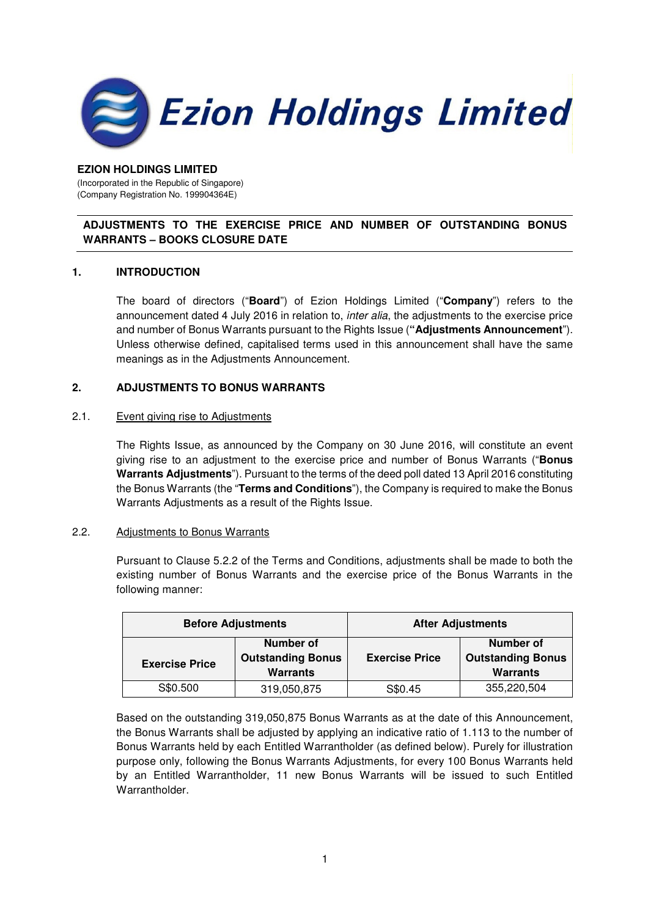

### **EZION HOLDINGS LIMITED**

(Incorporated in the Republic of Singapore) (Company Registration No. 199904364E)

# **ADJUSTMENTS TO THE EXERCISE PRICE AND NUMBER OF OUTSTANDING BONUS WARRANTS – BOOKS CLOSURE DATE**

### **1. INTRODUCTION**

The board of directors ("**Board**") of Ezion Holdings Limited ("**Company**") refers to the announcement dated 4 July 2016 in relation to, *inter alia*, the adjustments to the exercise price and number of Bonus Warrants pursuant to the Rights Issue (**"Adjustments Announcement**"). Unless otherwise defined, capitalised terms used in this announcement shall have the same meanings as in the Adjustments Announcement.

# **2. ADJUSTMENTS TO BONUS WARRANTS**

### 2.1. Event giving rise to Adjustments

The Rights Issue, as announced by the Company on 30 June 2016, will constitute an event giving rise to an adjustment to the exercise price and number of Bonus Warrants ("**Bonus Warrants Adjustments**"). Pursuant to the terms of the deed poll dated 13 April 2016 constituting the Bonus Warrants (the "**Terms and Conditions**"), the Company is required to make the Bonus Warrants Adjustments as a result of the Rights Issue.

### 2.2. Adjustments to Bonus Warrants

Pursuant to Clause 5.2.2 of the Terms and Conditions, adjustments shall be made to both the existing number of Bonus Warrants and the exercise price of the Bonus Warrants in the following manner:

| <b>Before Adjustments</b> |                                                          | <b>After Adjustments</b> |                                                          |
|---------------------------|----------------------------------------------------------|--------------------------|----------------------------------------------------------|
| <b>Exercise Price</b>     | Number of<br><b>Outstanding Bonus</b><br><b>Warrants</b> | <b>Exercise Price</b>    | Number of<br><b>Outstanding Bonus</b><br><b>Warrants</b> |
| S\$0.500                  | 319,050,875                                              | S\$0.45                  | 355,220,504                                              |

Based on the outstanding 319,050,875 Bonus Warrants as at the date of this Announcement, the Bonus Warrants shall be adjusted by applying an indicative ratio of 1.113 to the number of Bonus Warrants held by each Entitled Warrantholder (as defined below). Purely for illustration purpose only, following the Bonus Warrants Adjustments, for every 100 Bonus Warrants held by an Entitled Warrantholder, 11 new Bonus Warrants will be issued to such Entitled Warrantholder.